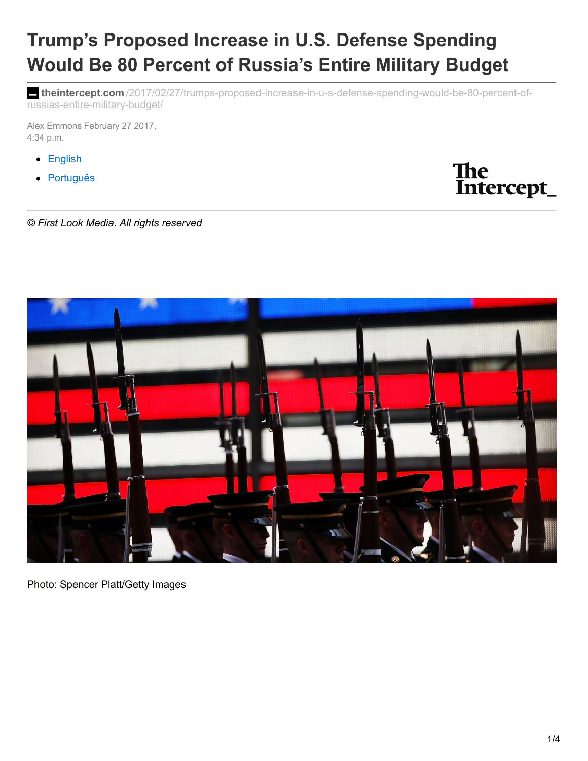# **Trump's Proposed Increase in U.S. Defense Spending Would Be 80 Percent of Russia's Entire Military Budget**

**theintercept.com** [/2017/02/27/trumps-proposed-increase-in-u-s-defense-spending-would-be-80-percent-of](https://theintercept.com/2017/02/27/trumps-proposed-increase-in-u-s-defense-spending-would-be-80-percent-of-russias-entire-military-budget/)russias-entire-military-budget/

Alex Emmons February 27 2017, 4:34 p.m.

- [English](https://theintercept.com/)
- [Português](https://theintercept.com/brasil/)



*© First Look Media. All rights reserved*



Photo: Spencer Platt/Getty Images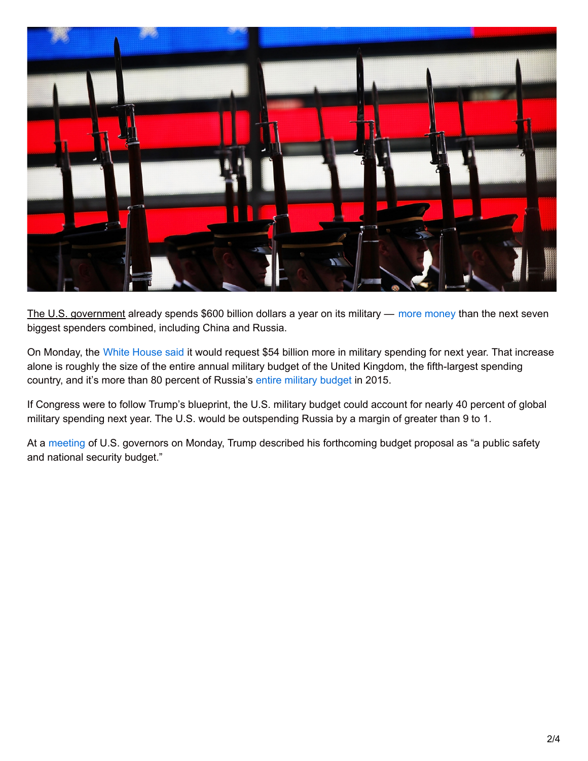

The U.S. government already spends \$600 billion dollars a year on its military — more [money](http://books.sipri.org/files/FS/SIPRIFS1604.pdf) than the next seven biggest spenders combined, including China and Russia.

On Monday, the White [House](https://www.nytimes.com/2017/02/27/us/politics/trump-budget-military.html) said it would request \$54 billion more in military spending for next year. That increase alone is roughly the size of the entire annual military budget of the United Kingdom, the fifth-largest spending country, and it's more than 80 percent of Russia's entire [military](http://books.sipri.org/files/FS/SIPRIFS1604.pdf) budget in 2015.

If Congress were to follow Trump's blueprint, the U.S. military budget could account for nearly 40 percent of global military spending next year. The U.S. would be outspending Russia by a margin of greater than 9 to 1.

At a [meeting](http://www.cnn.com/2017/02/27/politics/trump-budget-proposal/) of U.S. governors on Monday, Trump described his forthcoming budget proposal as "a public safety and national security budget."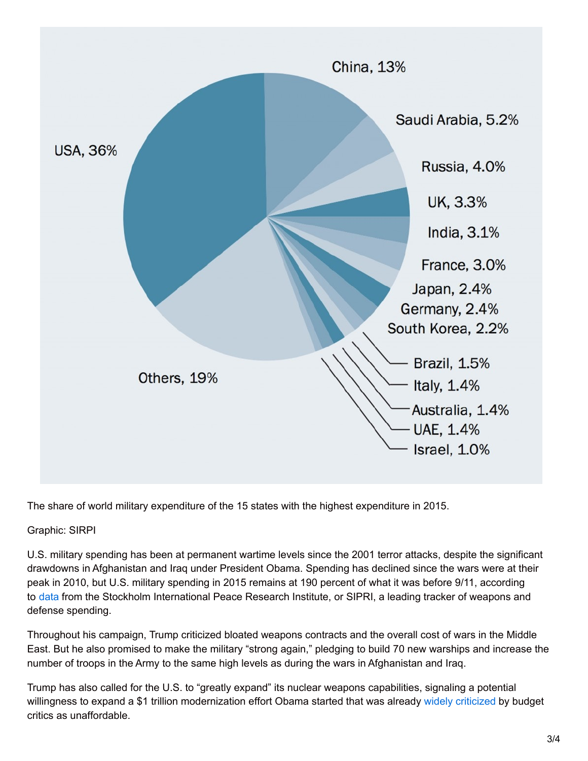

The share of world military expenditure of the 15 states with the highest expenditure in 2015.

Graphic: SIRPI

U.S. military spending has been at permanent wartime levels since the 2001 terror attacks, despite the significant drawdowns in Afghanistan and Iraq under President Obama. Spending has declined since the wars were at their peak in 2010, but U.S. military spending in 2015 remains at 190 percent of what it was before 9/11, according to [data](http://books.sipri.org/files/FS/SIPRIFS1604.pdf) from the Stockholm International Peace Research Institute, or SIPRI, a leading tracker of weapons and defense spending.

Throughout his campaign, Trump criticized bloated weapons contracts and the overall cost of wars in the Middle East. But he also promised to make the military "strong again," pledging to build 70 new warships and increase the number of troops in the Army to the same high levels as during the wars in Afghanistan and Iraq.

Trump has also called for the U.S. to "greatly expand" its nuclear weapons capabilities, signaling a potential willingness to expand a \$1 trillion modernization effort Obama started that was already widely [criticized](https://theintercept.com/2016/02/23/obamas-new-rationale-for-1-trillion-nuclear-program-augurs-a-new-arms-race-with-russia/) by budget critics as unaffordable.